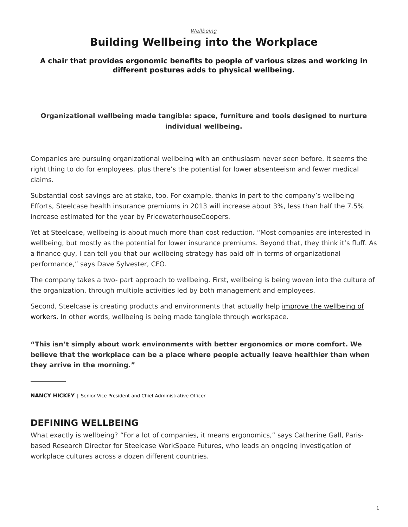#### *[Wellbeing](https://www.steelcase.com/research/topics/wellbeing/)*

# **Building Wellbeing into the Workplace**

### <span id="page-0-0"></span>**A chair that provides ergonomic benefits to people of various sizes and working in different postures adds to physical wellbeing.**

### **Organizational wellbeing made tangible: space, furniture and tools designed to nurture individual wellbeing.**

Companies are pursuing organizational wellbeing with an enthusiasm never seen before. It seems the right thing to do for employees, plus there's the potential for lower absenteeism and fewer medical claims.

Substantial cost savings are at stake, too. For example, thanks in part to the company's wellbeing Efforts, Steelcase health insurance premiums in 2013 will increase about 3%, less than half the 7.5% increase estimated for the year by PricewaterhouseCoopers.

Yet at Steelcase, wellbeing is about much more than cost reduction. "Most companies are interested in wellbeing, but mostly as the potential for lower insurance premiums. Beyond that, they think it's fluff. As a finance guy, I can tell you that our wellbeing strategy has paid off in terms of organizational performance," says Dave Sylvester, CFO.

The company takes a two- part approach to wellbeing. First, wellbeing is being woven into the culture of the organization, through multiple activities led by both management and employees.

Second, Steelcase is creating products and environments that actually help [improve the wellbeing of](https://www.steelcase.com/employee-wellbeing/) [workers.](https://www.steelcase.com/employee-wellbeing/) In other words, wellbeing is being made tangible through workspace.

**"This isn't simply about work environments with better ergonomics or more comfort. We believe that the workplace can be a place where people actually leave healthier than when they arrive in the morning."**

**NANCY HICKEY** | Senior Vice President and Chief Administrative Officer

### **DEFINING WELLBEING**

What exactly is wellbeing? "For a lot of companies, it means ergonomics," says Catherine Gall, Parisbased Research Director for Steelcase WorkSpace Futures, who leads an ongoing investigation of workplace cultures across a dozen different countries.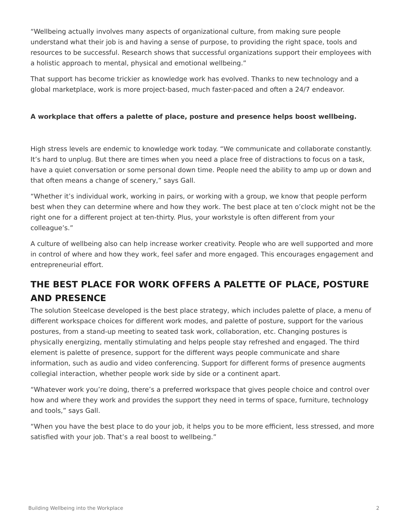"Wellbeing actually involves many aspects of organizational culture, from making sure people understand what their job is and having a sense of purpose, to providing the right space, tools and resources to be successful. Research shows that successful organizations support their employees with a holistic approach to mental, physical and emotional wellbeing."

That support has become trickier as knowledge work has evolved. Thanks to new technology and a global marketplace, work is more project-based, much faster-paced and often a 24/7 endeavor.

### **A workplace that offers a palette of place, posture and presence helps boost wellbeing.**

High stress levels are endemic to knowledge work today. "We communicate and collaborate constantly. It's hard to unplug. But there are times when you need a place free of distractions to focus on a task, have a quiet conversation or some personal down time. People need the ability to amp up or down and that often means a change of scenery," says Gall.

"Whether it's individual work, working in pairs, or working with a group, we know that people perform best when they can determine where and how they work. The best place at ten o'clock might not be the right one for a different project at ten-thirty. Plus, your workstyle is often different from your colleague's."

A culture of wellbeing also can help increase worker creativity. People who are well supported and more in control of where and how they work, feel safer and more engaged. This encourages engagement and entrepreneurial effort.

# **THE BEST PLACE FOR WORK OFFERS A PALETTE OF PLACE, POSTURE AND PRESENCE**

The solution Steelcase developed is the best place strategy, which includes palette of place, a menu of different workspace choices for different work modes, and palette of posture, support for the various postures, from a stand-up meeting to seated task work, collaboration, etc. Changing postures is physically energizing, mentally stimulating and helps people stay refreshed and engaged. The third element is palette of presence, support for the different ways people communicate and share information, such as audio and video conferencing. Support for different forms of presence augments collegial interaction, whether people work side by side or a continent apart.

"Whatever work you're doing, there's a preferred workspace that gives people choice and control over how and where they work and provides the support they need in terms of space, furniture, technology and tools," says Gall.

"When you have the best place to do your job, it helps you to be more efficient, less stressed, and more satisfied with your job. That's a real boost to wellbeing."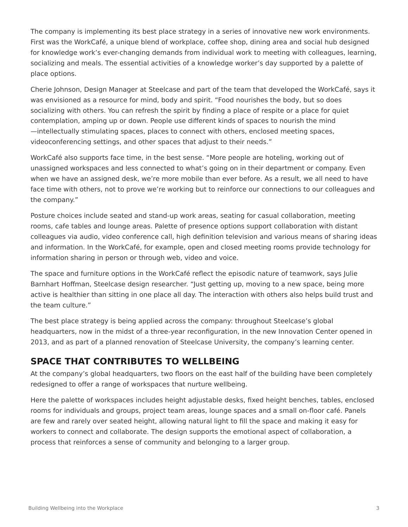The company is implementing its best place strategy in a series of innovative new work environments. First was the WorkCafé, a unique blend of workplace, coffee shop, dining area and social hub designed for knowledge work's ever-changing demands from individual work to meeting with colleagues, learning, socializing and meals. The essential activities of a knowledge worker's day supported by a palette of place options.

Cherie Johnson, Design Manager at Steelcase and part of the team that developed the WorkCafé, says it was envisioned as a resource for mind, body and spirit. "Food nourishes the body, but so does socializing with others. You can refresh the spirit by finding a place of respite or a place for quiet contemplation, amping up or down. People use different kinds of spaces to nourish the mind —intellectually stimulating spaces, places to connect with others, enclosed meeting spaces, videoconferencing settings, and other spaces that adjust to their needs."

WorkCafé also supports face time, in the best sense. "More people are hoteling, working out of unassigned workspaces and less connected to what's going on in their department or company. Even when we have an assigned desk, we're more mobile than ever before. As a result, we all need to have face time with others, not to prove we're working but to reinforce our connections to our colleagues and the company."

Posture choices include seated and stand-up work areas, seating for casual collaboration, meeting rooms, cafe tables and lounge areas. Palette of presence options support collaboration with distant colleagues via audio, video conference call, high definition television and various means of sharing ideas and information. In the WorkCafé, for example, open and closed meeting rooms provide technology for information sharing in person or through web, video and voice.

The space and furniture options in the WorkCafé reflect the episodic nature of teamwork, says Julie Barnhart Hoffman, Steelcase design researcher. "Just getting up, moving to a new space, being more active is healthier than sitting in one place all day. The interaction with others also helps build trust and the team culture."

The best place strategy is being applied across the company: throughout Steelcase's global headquarters, now in the midst of a three-year reconfiguration, in the new Innovation Center opened in 2013, and as part of a planned renovation of Steelcase University, the company's learning center.

# **SPACE THAT CONTRIBUTES TO WELLBEING**

At the company's global headquarters, two floors on the east half of the building have been completely redesigned to offer a range of workspaces that nurture wellbeing.

Here the palette of workspaces includes height adjustable desks, fixed height benches, tables, enclosed rooms for individuals and groups, project team areas, lounge spaces and a small on-floor café. Panels are few and rarely over seated height, allowing natural light to fill the space and making it easy for workers to connect and collaborate. The design supports the emotional aspect of collaboration, a process that reinforces a sense of community and belonging to a larger group.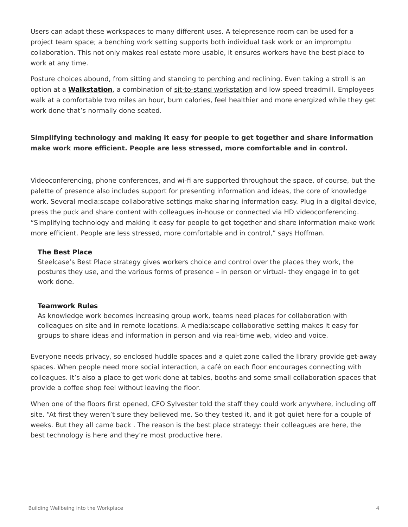Users can adapt these workspaces to many different uses. A telepresence room can be used for a project team space; a benching work setting supports both individual task work or an impromptu collaboration. This not only makes real estate more usable, it ensures workers have the best place to work at any time.

Posture choices abound, from sitting and standing to perching and reclining. Even taking a stroll is an option at a **[Walkstation](https://www.steelcase.com/products/tables/walkstation/)**, a combination of [sit-to-stand workstation](https://www.steelcase.com/products/height-adjustable-desks/) and low speed treadmill. Employees walk at a comfortable two miles an hour, burn calories, feel healthier and more energized while they get work done that's normally done seated.

### **Simplifying technology and making it easy for people to get together and share information make work more efficient. People are less stressed, more comfortable and in control.**

Videoconferencing, phone conferences, and wi-fi are supported throughout the space, of course, but the palette of presence also includes support for presenting information and ideas, the core of knowledge work. Several media:scape collaborative settings make sharing information easy. Plug in a digital device, press the puck and share content with colleagues in-house or connected via HD videoconferencing. "Simplifying technology and making it easy for people to get together and share information make work more efficient. People are less stressed, more comfortable and in control," says Hoffman.

#### **The Best Place**

Steelcase's Best Place strategy gives workers choice and control over the places they work, the postures they use, and the various forms of presence – in person or virtual- they engage in to get work done.

#### **Teamwork Rules**

As knowledge work becomes increasing group work, teams need places for collaboration with colleagues on site and in remote locations. A media:scape collaborative setting makes it easy for groups to share ideas and information in person and via real-time web, video and voice.

Everyone needs privacy, so enclosed huddle spaces and a quiet zone called the library provide get-away spaces. When people need more social interaction, a café on each floor encourages connecting with colleagues. It's also a place to get work done at tables, booths and some small collaboration spaces that provide a coffee shop feel without leaving the floor.

When one of the floors first opened, CFO Sylvester told the staff they could work anywhere, including off site. "At first they weren't sure they believed me. So they tested it, and it got quiet here for a couple of weeks. But they all came back . The reason is the best place strategy: their colleagues are here, the best technology is here and they're most productive here.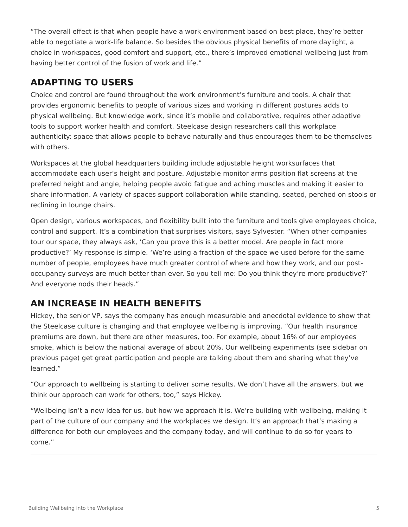"The overall effect is that when people have a work environment based on best place, they're better able to negotiate a work-life balance. So besides the obvious physical benefits of more daylight, a choice in workspaces, good comfort and support, etc., there's improved emotional wellbeing just from having better control of the fusion of work and life."

# **ADAPTING TO USERS**

Choice and control are found throughout the work environment's furniture and tools. A chair that provides ergonomic benefits to people of various sizes and working in different postures adds to physical wellbeing. But knowledge work, since it's mobile and collaborative, requires other adaptive tools to support worker health and comfort. Steelcase design researchers call this workplace authenticity: space that allows people to behave naturally and thus encourages them to be themselves with others.

Workspaces at the global headquarters building include adjustable height worksurfaces that accommodate each user's height and posture. Adjustable monitor arms position flat screens at the preferred height and angle, helping people avoid fatigue and aching muscles and making it easier to share information. A variety of spaces support collaboration while standing, seated, perched on stools or reclining in lounge chairs.

Open design, various workspaces, and flexibility built into the furniture and tools give employees choice, control and support. It's a combination that surprises visitors, says Sylvester. "When other companies tour our space, they always ask, 'Can you prove this is a better model. Are people in fact more productive?' My response is simple. 'We're using a fraction of the space we used before for the same number of people, employees have much greater control of where and how they work, and our postoccupancy surveys are much better than ever. So you tell me: Do you think they're more productive?' And everyone nods their heads."

## **AN INCREASE IN HEALTH BENEFITS**

Hickey, the senior VP, says the company has enough measurable and anecdotal evidence to show that the Steelcase culture is changing and that employee wellbeing is improving. "Our health insurance premiums are down, but there are other measures, too. For example, about 16% of our employees smoke, which is below the national average of about 20%. Our wellbeing experiments (see sidebar on previous page) get great participation and people are talking about them and sharing what they've learned."

"Our approach to wellbeing is starting to deliver some results. We don't have all the answers, but we think our approach can work for others, too," says Hickey.

"Wellbeing isn't a new idea for us, but how we approach it is. We're building with wellbeing, making it part of the culture of our company and the workplaces we design. It's an approach that's making a difference for both our employees and the company today, and will continue to do so for years to come."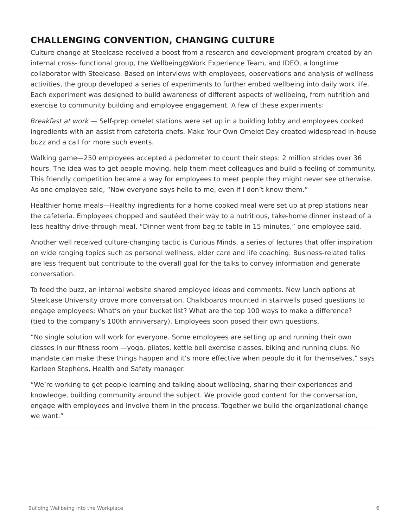# **CHALLENGING CONVENTION, CHANGING CULTURE**

Culture change at Steelcase received a boost from a research and development program created by an internal cross- functional group, the Wellbeing@Work Experience Team, and IDEO, a longtime collaborator with Steelcase. Based on interviews with employees, observations and analysis of wellness activities, the group developed a series of experiments to further embed wellbeing into daily work life. Each experiment was designed to build awareness of different aspects of wellbeing, from nutrition and exercise to community building and employee engagement. A few of these experiments:

*Breakfast at work* — Self-prep omelet stations were set up in a building lobby and employees cooked ingredients with an assist from cafeteria chefs. Make Your Own Omelet Day created widespread in-house buzz and a call for more such events.

Walking game—250 employees accepted a pedometer to count their steps: 2 million strides over 36 hours. The idea was to get people moving, help them meet colleagues and build a feeling of community. This friendly competition became a way for employees to meet people they might never see otherwise. As one employee said, "Now everyone says hello to me, even if I don't know them."

Healthier home meals—Healthy ingredients for a home cooked meal were set up at prep stations near the cafeteria. Employees chopped and sautéed their way to a nutritious, take-home dinner instead of a less healthy drive-through meal. "Dinner went from bag to table in 15 minutes," one employee said.

Another well received culture-changing tactic is Curious Minds, a series of lectures that offer inspiration on wide ranging topics such as personal wellness, elder care and life coaching. Business-related talks are less frequent but contribute to the overall goal for the talks to convey information and generate conversation.

To feed the buzz, an internal website shared employee ideas and comments. New lunch options at Steelcase University drove more conversation. Chalkboards mounted in stairwells posed questions to engage employees: What's on your bucket list? What are the top 100 ways to make a difference? (tied to the company's 100th anniversary). Employees soon posed their own questions.

"No single solution will work for everyone. Some employees are setting up and running their own classes in our fitness room —yoga, pilates, kettle bell exercise classes, biking and running clubs. No mandate can make these things happen and it's more effective when people do it for themselves," says Karleen Stephens, Health and Safety manager.

"We're working to get people learning and talking about wellbeing, sharing their experiences and knowledge, building community around the subject. We provide good content for the conversation, engage with employees and involve them in the process. Together we build the organizational change we want."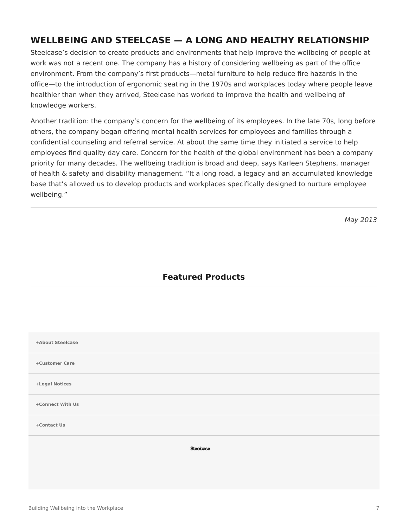## **WELLBEING AND STEELCASE — A LONG AND HEALTHY RELATIONSHIP**

Steelcase's decision to create products and environments that help improve the wellbeing of people at work was not a recent one. The company has a history of considering wellbeing as part of the office environment. From the company's first products—metal furniture to help reduce fire hazards in the office—to the introduction of ergonomic seating in the 1970s and workplaces today where people leave healthier than when they arrived, Steelcase has worked to improve the health and wellbeing of knowledge workers.

Another tradition: the company's concern for the wellbeing of its employees. In the late 70s, long before others, the company began offering mental health services for employees and families through a confidential counseling and referral service. At about the same time they initiated a service to help employees find quality day care. Concern for the health of the global environment has been a company priority for many decades. The wellbeing tradition is broad and deep, says Karleen Stephens, manager of health & safety and disability management. "It a long road, a legacy and an accumulated knowledge base that's allowed us to develop products and workplaces specifically designed to nurture employee wellbeing."

*May 2013*

### **Featured Products**

| +About Steelcase |
|------------------|
| +Customer Care   |
| +Legal Notices   |
| +Connect With Us |
| +Contact Us      |
| <b>Steelcase</b> |